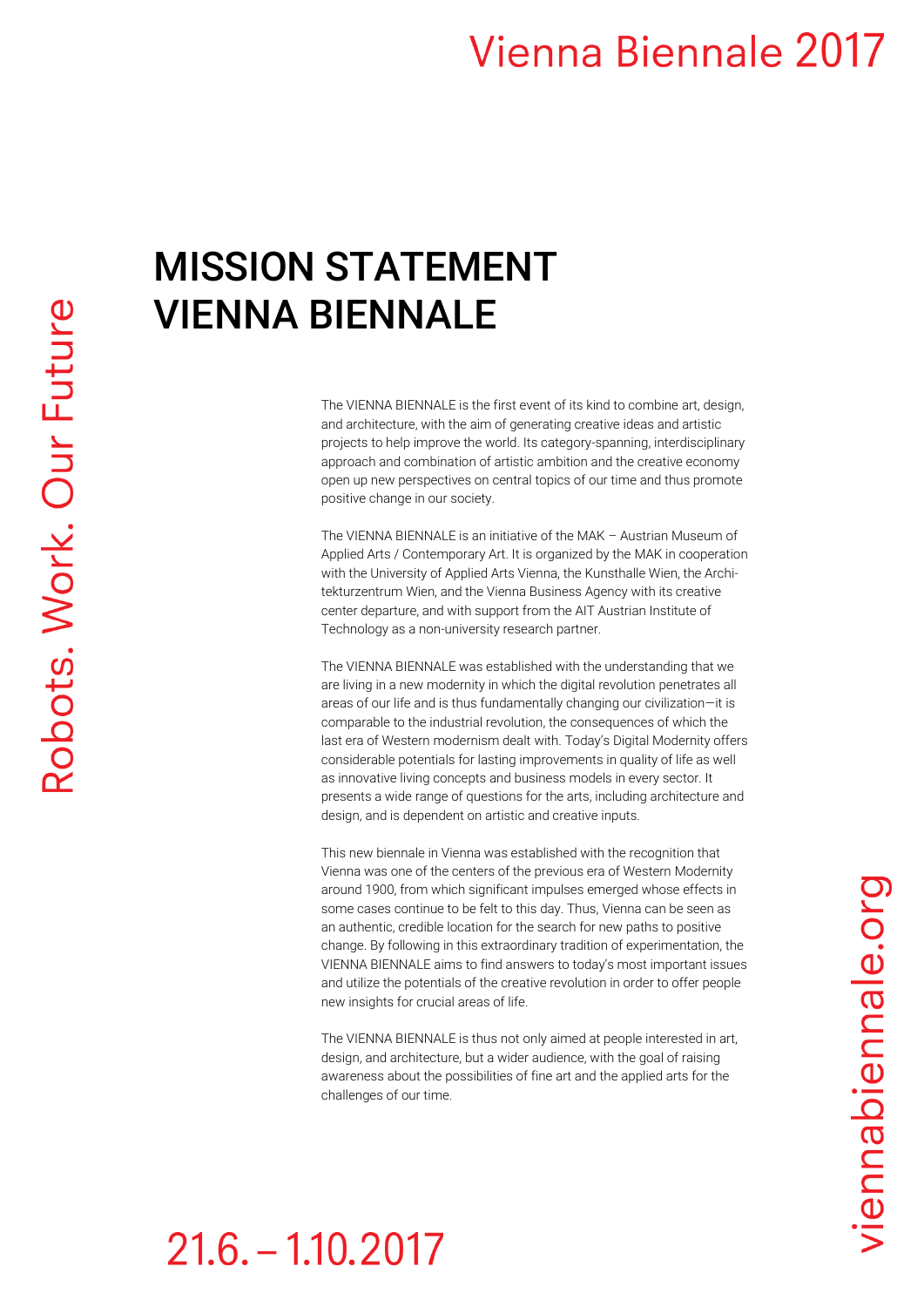## **Vienna Biennale 2017**

## MISSION STATEMENT VIENNA BIENNALE

The VIENNA BIENNALE is the first event of its kind to combine art, design, and architecture, with the aim of generating creative ideas and artistic projects to help improve the world. Its category-spanning, interdisciplinary approach and combination of artistic ambition and the creative economy open up new perspectives on central topics of our time and thus promote positive change in our society.

The VIENNA BIENNALE is an initiative of the MAK – Austrian Museum of Applied Arts / Contemporary Art. It is organized by the MAK in cooperation with the University of Applied Arts Vienna, the Kunsthalle Wien, the Architekturzentrum Wien, and the Vienna Business Agency with its creative center departure, and with support from the AIT Austrian Institute of Technology as a non-university research partner.

The VIENNA BIENNALE was established with the understanding that we are living in a new modernity in which the digital revolution penetrates all areas of our life and is thus fundamentally changing our civilization—it is comparable to the industrial revolution, the consequences of which the last era of Western modernism dealt with. Today's Digital Modernity offers considerable potentials for lasting improvements in quality of life as well as innovative living concepts and business models in every sector. It presents a wide range of questions for the arts, including architecture and design, and is dependent on artistic and creative inputs.

This new biennale in Vienna was established with the recognition that Vienna was one of the centers of the previous era of Western Modernity around 1900, from which significant impulses emerged whose effects in some cases continue to be felt to this day. Thus, Vienna can be seen as an authentic, credible location for the search for new paths to positive change. By following in this extraordinary tradition of experimentation, the VIENNA BIENNALE aims to find answers to today's most important issues and utilize the potentials of the creative revolution in order to offer people new insights for crucial areas of life.

The VIENNA BIENNALE is thus not only aimed at people interested in art, design, and architecture, but a wider audience, with the goal of raising awareness about the possibilities of fine art and the applied arts for the challenges of our time.

## $21.6 - 1.10.2017$